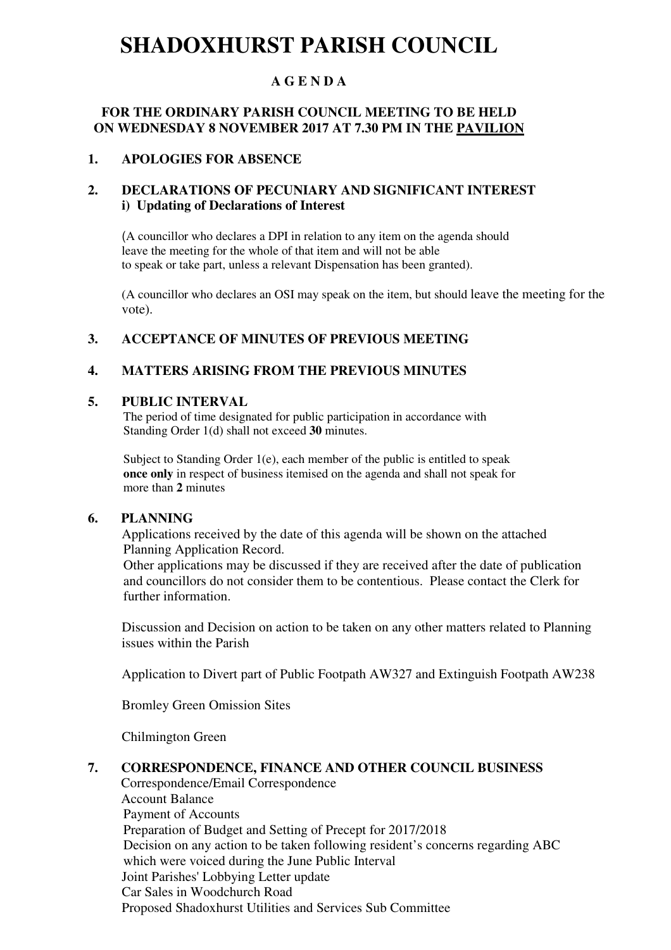# **SHADOXHURST PARISH COUNCIL**

# **A G E N D A**

#### **FOR THE ORDINARY PARISH COUNCIL MEETING TO BE HELD ON WEDNESDAY 8 NOVEMBER 2017 AT 7.30 PM IN THE PAVILION**

#### **1. APOLOGIES FOR ABSENCE**

#### **2. DECLARATIONS OF PECUNIARY AND SIGNIFICANT INTEREST i) Updating of Declarations of Interest**

(A councillor who declares a DPI in relation to any item on the agenda should leave the meeting for the whole of that item and will not be able to speak or take part, unless a relevant Dispensation has been granted).

(A councillor who declares an OSI may speak on the item, but should leave the meeting for the vote).

#### **3. ACCEPTANCE OF MINUTES OF PREVIOUS MEETING**

#### **4. MATTERS ARISING FROM THE PREVIOUS MINUTES**

#### **5. PUBLIC INTERVAL**

 The period of time designated for public participation in accordance with Standing Order 1(d) shall not exceed **30** minutes.

Subject to Standing Order 1(e), each member of the public is entitled to speak  **once only** in respect of business itemised on the agenda and shall not speak for more than **2** minutes

#### **6. PLANNING**

Applications received by the date of this agenda will be shown on the attached Planning Application Record.

 Other applications may be discussed if they are received after the date of publication and councillors do not consider them to be contentious. Please contact the Clerk for further information.

Discussion and Decision on action to be taken on any other matters related to Planning issues within the Parish

Application to Divert part of Public Footpath AW327 and Extinguish Footpath AW238

Bromley Green Omission Sites

Chilmington Green

#### **7. CORRESPONDENCE, FINANCE AND OTHER COUNCIL BUSINESS**

Correspondence/Email Correspondence Account Balance Payment of Accounts Preparation of Budget and Setting of Precept for 2017/2018 Decision on any action to be taken following resident's concerns regarding ABC which were voiced during the June Public Interval Joint Parishes' Lobbying Letter update Car Sales in Woodchurch Road Proposed Shadoxhurst Utilities and Services Sub Committee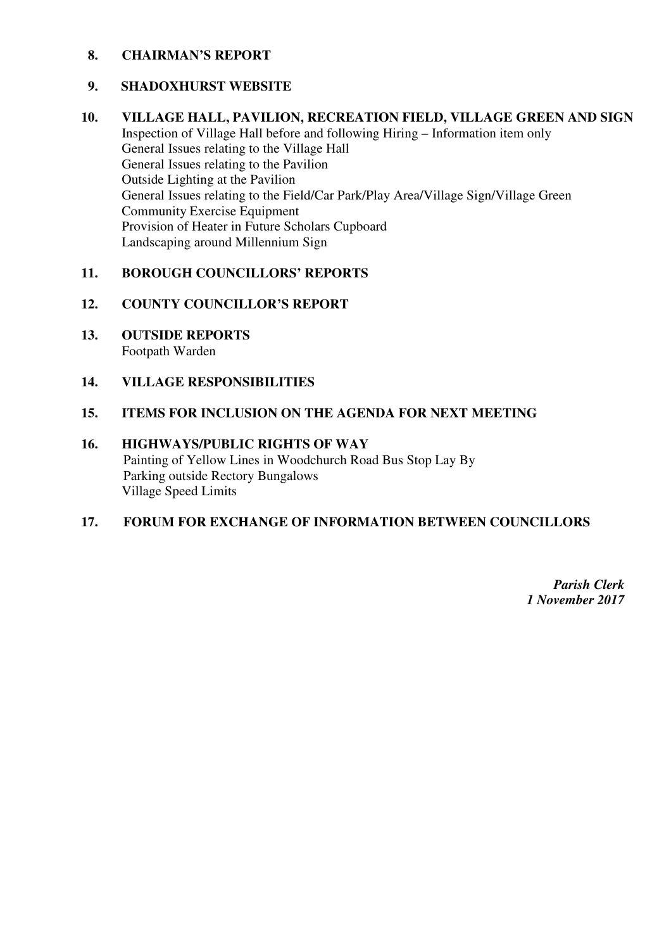#### **8. CHAIRMAN'S REPORT**

#### **9. SHADOXHURST WEBSITE**

**10. VILLAGE HALL, PAVILION, RECREATION FIELD, VILLAGE GREEN AND SIGN** Inspection of Village Hall before and following Hiring – Information item only General Issues relating to the Village Hall General Issues relating to the Pavilion Outside Lighting at the Pavilion General Issues relating to the Field/Car Park/Play Area/Village Sign/Village Green Community Exercise Equipment Provision of Heater in Future Scholars Cupboard Landscaping around Millennium Sign

# **11. BOROUGH COUNCILLORS' REPORTS**

#### **12. COUNTY COUNCILLOR'S REPORT**

**13. OUTSIDE REPORTS**  Footpath Warden

#### **14. VILLAGE RESPONSIBILITIES**

#### **15. ITEMS FOR INCLUSION ON THE AGENDA FOR NEXT MEETING**

#### **16. HIGHWAYS/PUBLIC RIGHTS OF WAY**

Painting of Yellow Lines in Woodchurch Road Bus Stop Lay By Parking outside Rectory Bungalows Village Speed Limits

#### **17. FORUM FOR EXCHANGE OF INFORMATION BETWEEN COUNCILLORS**

*Parish Clerk 1 November 2017*